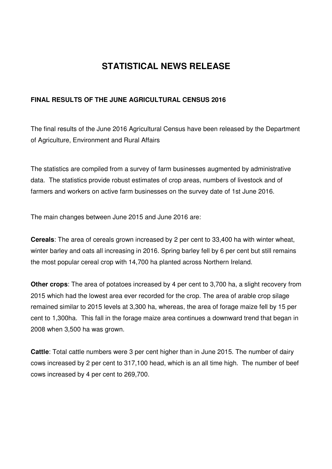# **STATISTICAL NEWS RELEASE**

### **FINAL RESULTS OF THE JUNE AGRICULTURAL CENSUS 2016**

The final results of the June 2016 Agricultural Census have been released by the Department of Agriculture, Environment and Rural Affairs

The statistics are compiled from a survey of farm businesses augmented by administrative data. The statistics provide robust estimates of crop areas, numbers of livestock and of farmers and workers on active farm businesses on the survey date of 1st June 2016.

The main changes between June 2015 and June 2016 are:

**Cereals**: The area of cereals grown increased by 2 per cent to 33,400 ha with winter wheat, winter barley and oats all increasing in 2016. Spring barley fell by 6 per cent but still remains the most popular cereal crop with 14,700 ha planted across Northern Ireland.

**Other crops**: The area of potatoes increased by 4 per cent to 3,700 ha, a slight recovery from 2015 which had the lowest area ever recorded for the crop. The area of arable crop silage remained similar to 2015 levels at 3,300 ha, whereas, the area of forage maize fell by 15 per cent to 1,300ha. This fall in the forage maize area continues a downward trend that began in 2008 when 3,500 ha was grown.

**Cattle**: Total cattle numbers were 3 per cent higher than in June 2015. The number of dairy cows increased by 2 per cent to 317,100 head, which is an all time high. The number of beef cows increased by 4 per cent to 269,700.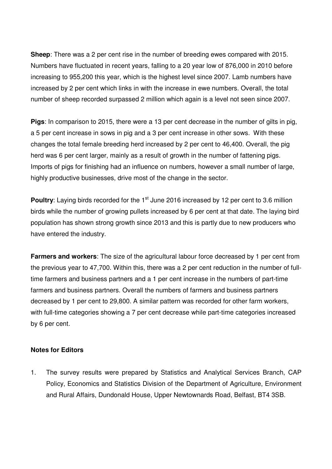**Sheep**: There was a 2 per cent rise in the number of breeding ewes compared with 2015. Numbers have fluctuated in recent years, falling to a 20 year low of 876,000 in 2010 before increasing to 955,200 this year, which is the highest level since 2007. Lamb numbers have increased by 2 per cent which links in with the increase in ewe numbers. Overall, the total number of sheep recorded surpassed 2 million which again is a level not seen since 2007.

**Pigs**: In comparison to 2015, there were a 13 per cent decrease in the number of gilts in pig, a 5 per cent increase in sows in pig and a 3 per cent increase in other sows. With these changes the total female breeding herd increased by 2 per cent to 46,400. Overall, the pig herd was 6 per cent larger, mainly as a result of growth in the number of fattening pigs. Imports of pigs for finishing had an influence on numbers, however a small number of large, highly productive businesses, drive most of the change in the sector.

**Poultry**: Laying birds recorded for the 1<sup>st</sup> June 2016 increased by 12 per cent to 3.6 million birds while the number of growing pullets increased by 6 per cent at that date. The laying bird population has shown strong growth since 2013 and this is partly due to new producers who have entered the industry.

**Farmers and workers:** The size of the agricultural labour force decreased by 1 per cent from the previous year to 47,700. Within this, there was a 2 per cent reduction in the number of fulltime farmers and business partners and a 1 per cent increase in the numbers of part-time farmers and business partners. Overall the numbers of farmers and business partners decreased by 1 per cent to 29,800. A similar pattern was recorded for other farm workers, with full-time categories showing a 7 per cent decrease while part-time categories increased by 6 per cent.

#### **Notes for Editors**

1. The survey results were prepared by Statistics and Analytical Services Branch, CAP Policy, Economics and Statistics Division of the Department of Agriculture, Environment and Rural Affairs, Dundonald House, Upper Newtownards Road, Belfast, BT4 3SB.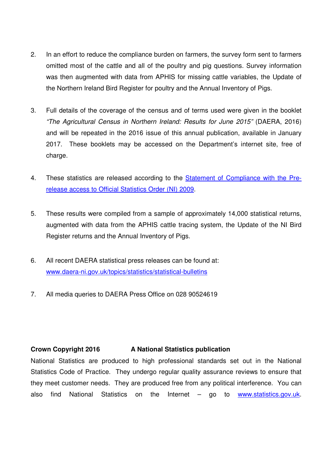- 2. In an effort to reduce the compliance burden on farmers, the survey form sent to farmers omitted most of the cattle and all of the poultry and pig questions. Survey information was then augmented with data from APHIS for missing cattle variables, the Update of the Northern Ireland Bird Register for poultry and the Annual Inventory of Pigs.
- 3. Full details of the coverage of the census and of terms used were given in the booklet "The Agricultural Census in Northern Ireland: Results for June 2015" (DAERA, 2016) and will be repeated in the 2016 issue of this annual publication, available in January 2017. These booklets may be accessed on the Department's internet site, free of charge.
- 4. These statistics are released according to the Statement of Compliance with the Prerelease access to Official Statistics Order (NI) 2009.
- 5. These results were compiled from a sample of approximately 14,000 statistical returns, augmented with data from the APHIS cattle tracing system, the Update of the NI Bird Register returns and the Annual Inventory of Pigs.
- 6. All recent DAERA statistical press releases can be found at: www.daera-ni.gov.uk/topics/statistics/statistical-bulletins
- 7. All media queries to DAERA Press Office on 028 90524619

### **Crown Copyright 2016 A National Statistics publication**

National Statistics are produced to high professional standards set out in the National Statistics Code of Practice. They undergo regular quality assurance reviews to ensure that they meet customer needs. They are produced free from any political interference. You can also find National Statistics on the Internet – go to www.statistics.gov.uk.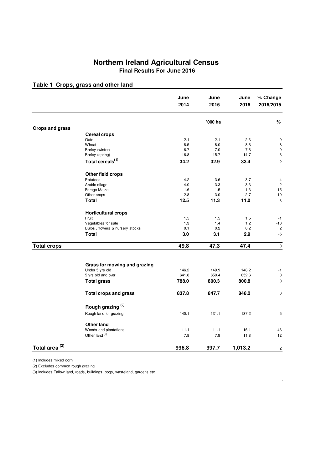#### **Northern Ireland Agricultural Census Final Results For June 2016**

## **Table 1 Crops, grass and other land**

|                          |                                 | June<br>2014 | June<br>2015 | June<br>2016 | % Change<br>2016/2015 |
|--------------------------|---------------------------------|--------------|--------------|--------------|-----------------------|
|                          |                                 |              |              |              |                       |
|                          |                                 |              | '000 ha      |              | $\%$                  |
| <b>Crops and grass</b>   |                                 |              |              |              |                       |
|                          | <b>Cereal crops</b>             |              |              |              |                       |
|                          | Oats                            | 2.1          | 2.1          | 2.3          | 9                     |
|                          | Wheat                           | 8.5          | 8.0          | 8.6          | 8                     |
|                          | Barley (winter)                 | 6.7          | 7.0          | 7.6          | $\boldsymbol{9}$      |
|                          | Barley (spring)                 | 16.8         | 15.7         | 14.7         | -6                    |
|                          | Total cereals <sup>(1)</sup>    | 34.2         | 32.9         | 33.4         | $\overline{c}$        |
|                          | Other field crops               |              |              |              |                       |
|                          | Potatoes                        | 4.2          | 3.6          | 3.7          | 4                     |
|                          | Arable silage                   | 4.0          | 3.3          | 3.3          | $\overline{2}$        |
|                          | Forage Maize                    | 1.6          | 1.5          | 1.3          | $-15$                 |
|                          | Other crops                     | 2.8          | 3.0          | 2.7          | $-10$                 |
|                          | <b>Total</b>                    | 12.5         | 11.3         | 11.0         | -3                    |
|                          | <b>Horticultural crops</b>      |              |              |              |                       |
|                          | Fruit                           | 1.5          | 1.5          | 1.5          | $-1$                  |
|                          | Vegetables for sale             | 1.3          | 1.4          | 1.2          | $-10$                 |
|                          | Bulbs, flowers & nursery stocks | 0.1          | 0.2          | 0.2          | 2                     |
|                          | <b>Total</b>                    | 3.0          | 3.1          | 2.9          | $-5$                  |
| <b>Total crops</b>       |                                 | 49.8         | 47.3         | 47.4         | $\pmb{0}$             |
|                          |                                 |              |              |              |                       |
|                          | Grass for mowing and grazing    |              |              |              |                       |
|                          | Under 5 yrs old                 | 146.2        | 149.9        | 148.2        | $-1$                  |
|                          | 5 yrs old and over              | 641.8        | 650.4        | 652.6        | $\pmb{0}$             |
|                          | <b>Total grass</b>              | 788.0        | 800.3        | 800.8        | $\mathbf 0$           |
|                          | <b>Total crops and grass</b>    | 837.8        | 847.7        | 848.2        | $\mathbf 0$           |
|                          | Rough grazing <sup>(2)</sup>    |              |              |              |                       |
|                          | Rough land for grazing          | 140.1        | 131.1        | 137.2        | 5                     |
|                          | <b>Other land</b>               |              |              |              |                       |
|                          | Woods and plantations           | 11.1         | 11.1         | 16.1         | 46                    |
|                          | Other land <sup>(3)</sup>       | 7.8          | 7.9          | 11.8         | 12                    |
| (2)<br><b>Total area</b> |                                 | 996.8        | 997.7        | 1,013.2      | $\overline{c}$        |

 $\mathbf{r}$ 

(1) Includes mixed corn

(2) Excludes common rough grazing

(3) Includes Fallow land, roads, buildings, bogs, wasteland, gardens etc.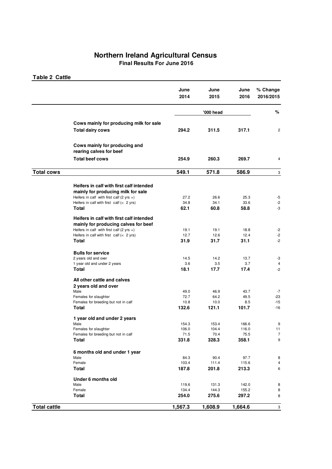#### **Northern Ireland Agricultural Census**

**Final Results For June 2016**

**Table 2 Cattle** 

|                     |                                                                                                                                                                                | June<br>2014                    | June<br>2015                    | June<br>2016                    | % Change<br>2016/2015          |
|---------------------|--------------------------------------------------------------------------------------------------------------------------------------------------------------------------------|---------------------------------|---------------------------------|---------------------------------|--------------------------------|
|                     |                                                                                                                                                                                |                                 | '000 head                       |                                 | %                              |
|                     | Cows mainly for producing milk for sale<br><b>Total dairy cows</b>                                                                                                             | 294.2                           | 311.5                           | 317.1                           | $\overline{c}$                 |
|                     | Cows mainly for producing and<br>rearing calves for beef                                                                                                                       |                                 |                                 |                                 |                                |
|                     | <b>Total beef cows</b>                                                                                                                                                         | 254.9                           | 260.3                           | 269.7                           | 4                              |
| <b>Total cows</b>   |                                                                                                                                                                                | 549.1                           | 571.8                           | 586.9                           | 3                              |
|                     | Heifers in calf with first calf intended<br>mainly for producing milk for sale<br>Heifers in calf with first calf (2 yrs +)                                                    | 27.2                            | 26.6                            | 25.3                            | -5                             |
|                     | Heifers in calf with first calf $(< 2$ yrs)<br>Total                                                                                                                           | 34.8<br>62.1                    | 34.1<br>60.8                    | 33.6<br>58.8                    | $-2$<br>-3                     |
|                     |                                                                                                                                                                                |                                 |                                 |                                 |                                |
|                     | Heifers in calf with first calf intended<br>mainly for producing calves for beef<br>Heifers in calf with first calf (2 yrs $+)$<br>Heifers in calf with first calf $(< 2$ yrs) | 19.1<br>12.7                    | 19.1<br>12.6                    | 18.8<br>12.4                    | $-2$<br>-2                     |
|                     | Total                                                                                                                                                                          | 31.9                            | 31.7                            | 31.1                            | $-2$                           |
|                     | <b>Bulls for service</b><br>2 years old and over<br>1 year old and under 2 years<br><b>Total</b>                                                                               | 14.5<br>3.6<br>18.1             | 14.2<br>3.5<br>17.7             | 13.7<br>3.7<br>17.4             | -3<br>4<br>$-2$                |
|                     | All other cattle and calves                                                                                                                                                    |                                 |                                 |                                 |                                |
|                     | 2 years old and over<br>Male<br>Females for slaughter<br>Females for breeding but not in calf                                                                                  | 49.0<br>72.7<br>10.8            | 46.9<br>64.2<br>10.0            | 43.7<br>49.5<br>8.5             | $-7$<br>$-23$<br>$-15$         |
|                     | Total                                                                                                                                                                          | 132.6                           | 121.1                           | 101.7                           | $-16$                          |
|                     | 1 year old and under 2 years<br>Male<br>Females for slaughter<br>Females for breeding but not in calf<br>Total                                                                 | 154.3<br>106.0<br>71.5<br>331.8 | 153.4<br>104.4<br>70.4<br>328.3 | 166.6<br>116.0<br>75.5<br>358.1 | 9<br>11<br>$\overline{7}$<br>9 |
|                     | 6 months old and under 1 year                                                                                                                                                  |                                 |                                 |                                 |                                |
|                     | Male<br>Female<br><b>Total</b>                                                                                                                                                 | 84.3<br>103.4<br>187.8          | 90.4<br>111.4<br>201.8          | 97.7<br>115.6<br>213.3          | 8<br>4<br>6                    |
|                     | Under 6 months old                                                                                                                                                             |                                 |                                 |                                 |                                |
|                     | Male                                                                                                                                                                           | 119.6                           | 131.3                           | 142.0                           | 8                              |
|                     | Female<br><b>Total</b>                                                                                                                                                         | 134.4<br>254.0                  | 144.3<br>275.6                  | 155.2<br>297.2                  | 8<br>8                         |
| <b>Total cattle</b> |                                                                                                                                                                                | 1,567.3                         | 1,608.9                         | 1,664.6                         | $\mathbf{3}$                   |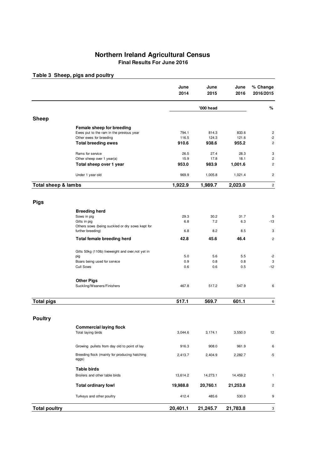#### **Northern Ireland Agricultural Census Final Results For June 2016**

#### **June June June % Change 2014 2015 2016 2016/2015 % Sheep Female sheep for breeding** Ewes put to the ram in the previous year 794.1 814.3 833.6 2<br>Other ewes for breeding the previous year 116.5 124.3 121.6 2 Other ewes for breeding the control of the control of the control of the control of the control of the control of the control of the control of the control of the control of the control of the control of the control of the **Total breeding ewes 910.6 938.6 955.2** 2 Rams for service 26.5 27.4 28.3 3 Other sheep over 1 year(a) 15.9 17.8 18.1 2 **Total sheep over 1 year 953.0 983.9 1,001.6** 2 Under 1 year old 2 and 2 369.9 1,005.8 1,021.4 2 **Total sheep & lambs 1,989.7 2,023.0** 2 **Pigs Breeding herd** Sows in pig 31.7 30.2 31.7 5 30.2 31.7 4  $\sim$  51.7 5 5 31.7 5 5 31.7 5 5 5 5 31.7 5 5 31.7 5 5 31.7 5 31.7 5 5 5 31.7 5 5 31.7 5 5 5 31.7 5 5 31.7 5 5 31.7 5 5 31.7 5 5 31.7 5 5 31.7 5 5 31.7 5 31.7 5 31.7 5 31.7 5 31.7 5 Gilts in pig 6.8 7.2 6.3 -13 Others sows (being suckled or dry sows kept for further breeding) 6.8 8.2 8.5 3 **Total female breeding herd 42.8 45.6 46.4** 2 Gilts 50kg (110lb) liveweight and over,not yet in pig 5.0 5.6 5.5 -2 Boars being used for service the contract of the contract of the contract of the contract of the contract of the contract of the contract of the contract of the contract of the contract of the contract of the contract of t Cull Sows 0.6 0.6 0.5 -12 **Other Pigs** Suckling/Weaners/Finishers **467.8** 517.2 547.9 6 **Total pigs 517.1 569.7 601.1** 6 **Poultry Commercial laying flock** Total laying birds **3,044.6** 3,174.1 3,550.0 12 Growing pullets from day old to point of lay 916.3 908.0 961.9 961.9 6 Breeding flock (mainly for producing hatching eggs) 2,413.7 2,404.9 2,282.7 -5 **Table birds** Broilers and other table birds 13,614.2 14,273.1 14,459.2 1 **Total ordinary fowl 19,988.8 20,760.1 21,253.8** 2 Turkeys and other poultry and the poultry the control of the 412.4 485.6 530.0 9 **'000 head 1,922.9**

**20,401.1**

#### **Table 3 Sheep, pigs and poultry**

**20,401.1 21,245.7 21,783.8** 3